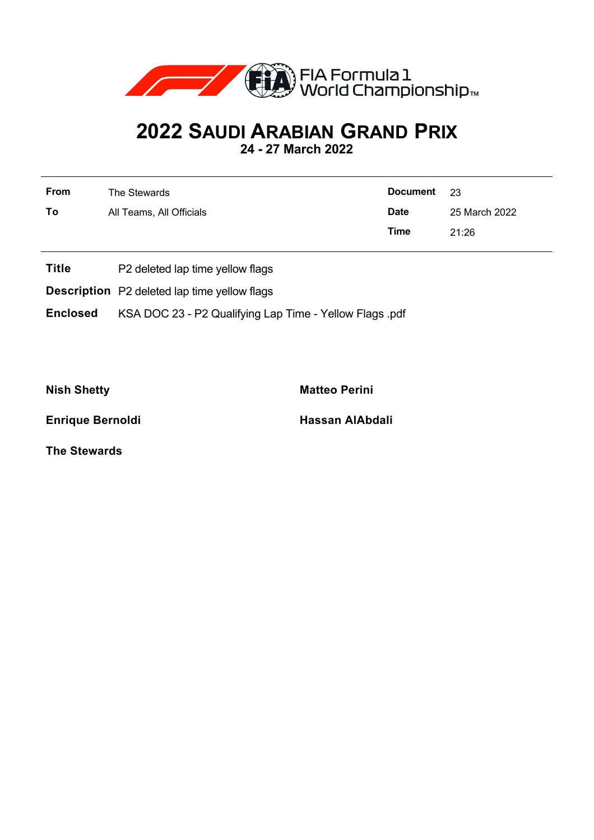

## **2022 SAUDI ARABIAN GRAND PRIX**

**24 - 27 March 2022**

| From | The Stewards             | <b>Document</b> | - 23          |  |
|------|--------------------------|-----------------|---------------|--|
| To   | All Teams, All Officials | <b>Date</b>     | 25 March 2022 |  |
|      |                          | Time            | 21:26         |  |
|      |                          |                 |               |  |

- **Title** P2 deleted lap time yellow flags
- **Description** P2 deleted lap time yellow flags

**Enclosed** KSA DOC 23 - P2 Qualifying Lap Time - Yellow Flags .pdf

**Nish Shetty Matteo Perini** 

**Enrique Bernoldi Hassan AlAbdali** 

**The Stewards**